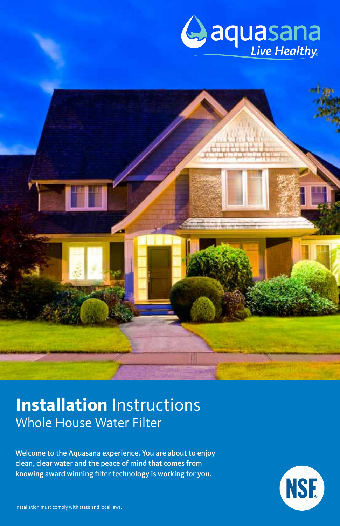



Welcome to the Aquasana experience. You are about to enjoy clean, clear water and the peace of mind that comes from knowing award winning filter technology is working for you.

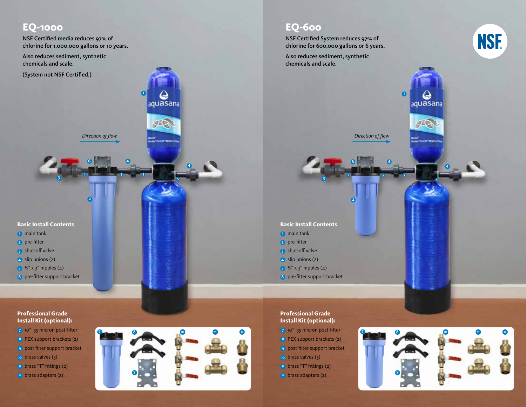### **EQ-1000**

NSF Certified media reduces 97% of chlorine for 1,000,000 gallons or 10 years.

Also reduces sediment, synthetic chemicals and scale.

(System not NSF Certified.)

*Direction of flow*

2

5

6

 $\bullet$ 

aquasana

 $\sqrt{10}$ 

**The Merchan** 

4

10 11 12

5

4

**7** 8

9

5 5

#### **Basic Install Contents**

3

- **1** main tank
- 2 pre-filter
- 3 shut-off valve
- 4 slip unions (2)
- $5 \frac{3}{4}$ " x 3" nipples (4)
- 6 pre-filter support bracket

#### **Professional Grade Install Kit (optional):**

- 7 10" .35 micron post-filter
- 8 PEX support brackets (2)
- 9 post filter support bracket
- 10 brass valves (3)
- 11 brass "T" fittings (2)
- <sup>12</sup> brass adapters (2)

## **EQ-600**

NSF Certified System reduces 97% of chlorine for 600,000 gallons or 6 years.

Also reduces sediment, synthetic chemicals and scale.



*Direction of flow*

4

5 5

2

5

6

6

aquasana

 $\sqrt{10}$ 

**Carl Marchan** 

### **Basic Install Contents**

3

- **1** main tank
- 2 pre-filter
- 3 shut-off valve
- 4 slip unions (2)
- $5 \frac{3}{4}$ " x 3" nipples (4)
- 6 pre-filter support bracket

### **Professional Grade Install Kit (optional):**

- 7 10" .35 micron post-filter
- 8 PEX support brackets (2)
- 9 post filter support bracket
- 10 brass valves (3)
- 11 brass "T" fittings (2)
- <sup>12</sup> brass adapters (2)



4

5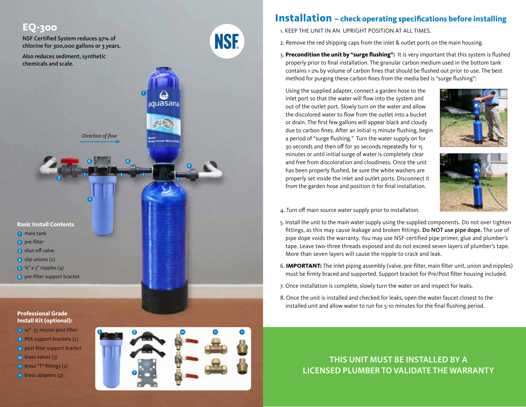

# **Installation – check operating specifications before installing**

- 1. KEEP THE UNIT IN AN UPRIGHT POSITION AT ALL TIMES.
- 2. Remove the red shipping caps from the inlet & outlet ports on the main housing.
- 3. **Precondition the unit by "surge flushing":** It is very important that this system is flushed properly prior to final installation. The granular carbon medium used in the bottom tank contains 1-2% by volume of carbon fines that should be flushed out prior to use. The best method for purging these carbon fines from the media bed is "surge flushing":

Using the supplied adapter, connect a garden hose to the inlet port so that the water will flow into the system and out of the outlet port. Slowly turn on the water and allow the discolored water to flow from the outlet into a bucket or drain. The first few gallons will appear black and cloudy due to carbon fines. After an initial 15 minute flushing, begin a period of "surge flushing." Turn the water supply on for 30 seconds and then off for 30 seconds repeatedly for 15 minutes or until initial surge of water is completely clear and free from discoloration and cloudiness. Once the unit has been properly flushed, be sure the white washers are properly set inside the inlet and outlet ports. Disconnect it from the garden hose and position it for final installation.





- 4. Turn off main source water supply prior to installation.
- 5. Install the unit to the main water supply using the supplied components. Do not over tighten fittings, as this may cause leakage and broken fittings. Do NOT use pipe dope. The use of pipe dope voids the warranty. You may use NSF-certified pipe primer, glue and plumber's tape. Leave two-three threads exposed and do not exceed seven layers of plumber's tape. More than seven layers will cause the nipple to crack and leak.
- 6. **IMPORTANT:** The inlet piping assembly (valve, pre-filter, main filter unit, union and nipples) must be firmly braced and supported. Support bracket for Pre/Post filter housing included.
- 7. Once installation is complete, slowly turn the water on and inspect for leaks.
- 8. Once the unit is installed and checked for leaks, open the water faucet closest to the installed unit and allow water to run for 5-10 minutes for the final flushing period.

**Professional Grade Install Kit (optional):**

- 7 10" .35 micron post-filter
- 8 PEX support brackets (2)
- 9 post filter support bracket
- 10 brass valves (3)
- 11 brass "T" fittings (2)
- <sup>12</sup> brass adapters (2)



**THIS UNIT MUST BE INSTALLED BY A LICENSED PLUMBER TO VALIDATE THE WARRANTY**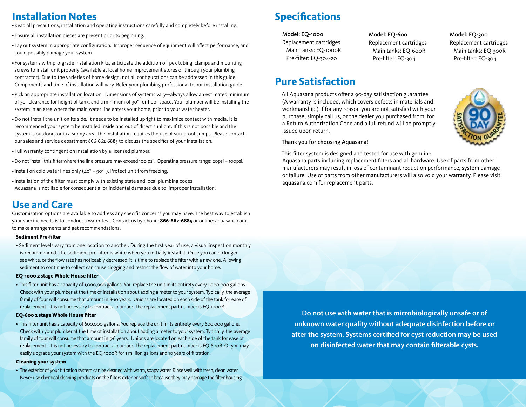## **Installation Notes**

•Read all precautions, installation and operating instructions carefully and completely before installing.

- Ensure all installation pieces are present prior to beginning.
- Lay out system in appropriate configuration. Improper sequence of equipment will affect performance, and could possibly damage your system.
- For systems with pro-grade installation kits, anticipate the addition of pex tubing, clamps and mounting screws to install unit properly (available at local home improvement stores or through your plumbing contractor). Due to the varieties of home design, not all configurations can be addressed in this guide. Components and time of installation will vary. Refer your plumbing professional to our installation guide.
- Pick an appropriate installation location. Dimensions of systems vary—always allow an estimated minimum of 50" clearance for height of tank, and a minimum of 30" for floor space. Your plumber will be installing the system in an area where the main water line enters your home, prior to your water heater.
- •Do not install the unit on its side. It needs to be installed upright to maximize contact with media. It is recommended your system be installed inside and out of direct sunlight. If this is not possible and the system is outdoors or in a sunny area, the installation requires the use of sun-proof sumps. Please contact our sales and service department 866-662-6885 to discuss the specifics of your installation.
- Full warranty contingent on installation by a licensed plumber.
- •Do not install this filter where the line pressure may exceed 100 psi. Operating pressure range: 20psi 100psi.
- •Install on cold water lines only (40° 90°F). Protect unit from freezing.
- •Installation of the filter must comply with existing state and local plumbing codes. Aquasana is not liable for consequential or incidental damages due to improper installation.

### **Use and Care**

Customization options are available to address any specific concerns you may have. The best way to establish your specific needs is to conduct a water test. Contact us by phone: **866-662-6885** or online: aquasana.com, to make arrangements and get recommendations.

#### **Sediment Pre-filter**

• Sediment levels vary from one location to another. During the first year of use, a visual inspection monthly is recommended. The sediment pre-filter is white when you initially install it. Once you can no longer see white, or the flow rate has noticeably decreased, it is time to replace the filter with a new one. Allowing sediment to continue to collect can cause clogging and restrict the flow of water into your home.

#### **EQ-1000 2 stage Whole House filter**

• This filter unit has a capacity of 1,000,000 gallons. You replace the unit in its entirety every 1,000,000 gallons. Check with your plumber at the time of installation about adding a meter to your system. Typically, the average family of four will consume that amount in 8-10 years. Unions are located on each side of the tank for ease of replacement. It is not necessary to contract a plumber. The replacement part number is EQ-1000R.

#### **EQ-600 2 stage Whole House filter**

• This filter unit has a capacity of 600,000 gallons. You replace the unit in its entirety every 600,000 gallons. Check with your plumber at the time of installation about adding a meter to your system. Typically, the average family of four will consume that amount in 5-6 years. Unions are located on each side of the tank for ease of replacement. It is not necessary to contract a plumber. The replacement part number is EQ-600R. Or you may easily upgrade your system with the EQ-1000R for 1 million gallons and 10 years of filtration.

#### **Cleaning your system**

• The exterior of your filtration system can be cleaned with warm, soapy water. Rinse well with fresh, clean water. Never use chemical cleaning products on the filters exterior surface because they may damage the filter housing.

# **Specifications**

#### Model: EQ-1000

Replacement cartridges Main tanks: EQ-1000R Pre-filter: EQ-304-20

### **Pure Satisfaction**

All Aquasana products offer a 90-day satisfaction guarantee. (A warranty is included, which covers defects in materials and workmanship.) If for any reason you are not satisfied with your purchase, simply call us, or the dealer you purchased from, for a Return Authorization Code and a full refund will be promptly issued upon return.

### Thank you for choosing Aquasana!

This filter system is designed and tested for use with genuine

Aquasana parts including replacement filters and all hardware. Use of parts from other manufacturers may result in loss of contaminant reduction performance, system damage or failure. Use of parts from other manufacturers will also void your warranty. Please visit aquasana.com for replacement parts.

Model: EQ-600 Replacement cartridges Main tanks: EQ-600R Pre-filter: EQ-304

**Do not use with water that is microbiologically unsafe or of unknown water quality without adequate disinfection before or after the system. Systems certified for cyst reduction may be used on disinfected water that may contain filterable cysts.**



Model: EQ-300 Replacement cartridges Main tanks: EQ-300R Pre-filter: EQ-304